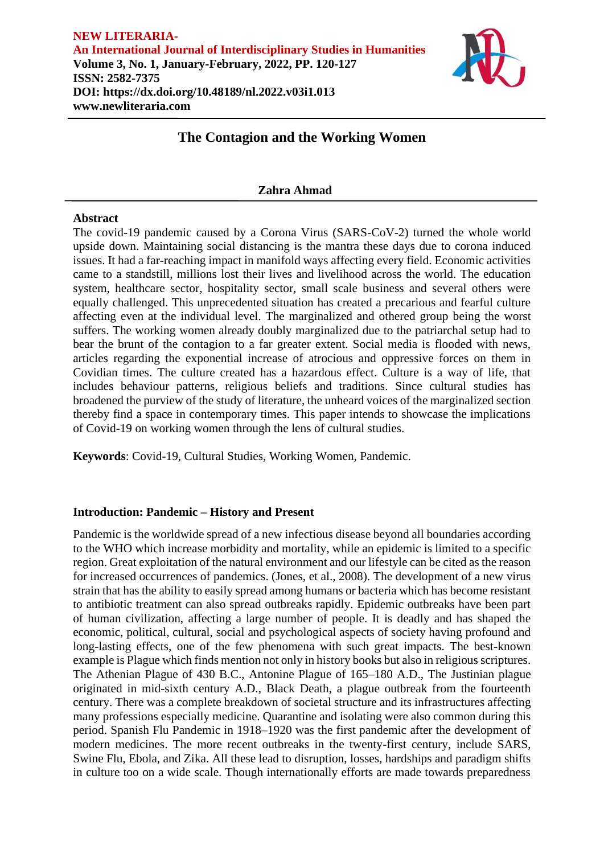

# **The Contagion and the Working Women**

### **Zahra Ahmad**

#### **Abstract**

The covid-19 pandemic caused by a Corona Virus (SARS-CoV-2) turned the whole world upside down. Maintaining social distancing is the mantra these days due to corona induced issues. It had a far-reaching impact in manifold ways affecting every field. Economic activities came to a standstill, millions lost their lives and livelihood across the world. The education system, healthcare sector, hospitality sector, small scale business and several others were equally challenged. This unprecedented situation has created a precarious and fearful culture affecting even at the individual level. The marginalized and othered group being the worst suffers. The working women already doubly marginalized due to the patriarchal setup had to bear the brunt of the contagion to a far greater extent. Social media is flooded with news, articles regarding the exponential increase of atrocious and oppressive forces on them in Covidian times. The culture created has a hazardous effect. Culture is a way of life, that includes behaviour patterns, religious beliefs and traditions. Since cultural studies has broadened the purview of the study of literature, the unheard voices of the marginalized section thereby find a space in contemporary times. This paper intends to showcase the implications of Covid-19 on working women through the lens of cultural studies.

**Keywords**: Covid-19, Cultural Studies, Working Women, Pandemic.

# **Introduction: Pandemic – History and Present**

Pandemic is the worldwide spread of a new infectious disease beyond all boundaries according to the WHO which increase morbidity and mortality, while an epidemic is limited to a specific region. Great exploitation of the natural environment and our lifestyle can be cited as the reason for increased occurrences of pandemics. (Jones, et al., 2008). The development of a new virus strain that has the ability to easily spread among humans or bacteria which has become resistant to antibiotic treatment can also spread outbreaks rapidly. Epidemic outbreaks have been part of human civilization, affecting a large number of people. It is deadly and has shaped the economic, political, cultural, social and psychological aspects of society having profound and long-lasting effects, one of the few phenomena with such great impacts. The best-known example is Plague which finds mention not only in history books but also in religious scriptures. The Athenian Plague of 430 B.C., Antonine Plague of 165–180 A.D., The Justinian plague originated in mid-sixth century A.D., Black Death, a plague outbreak from the fourteenth century. There was a complete breakdown of societal structure and its infrastructures affecting many professions especially medicine. Quarantine and isolating were also common during this period. Spanish Flu Pandemic in 1918–1920 was the first pandemic after the development of modern medicines. The more recent outbreaks in the twenty-first century, include SARS, Swine Flu, Ebola, and Zika. All these lead to disruption, losses, hardships and paradigm shifts in culture too on a wide scale. Though internationally efforts are made towards preparedness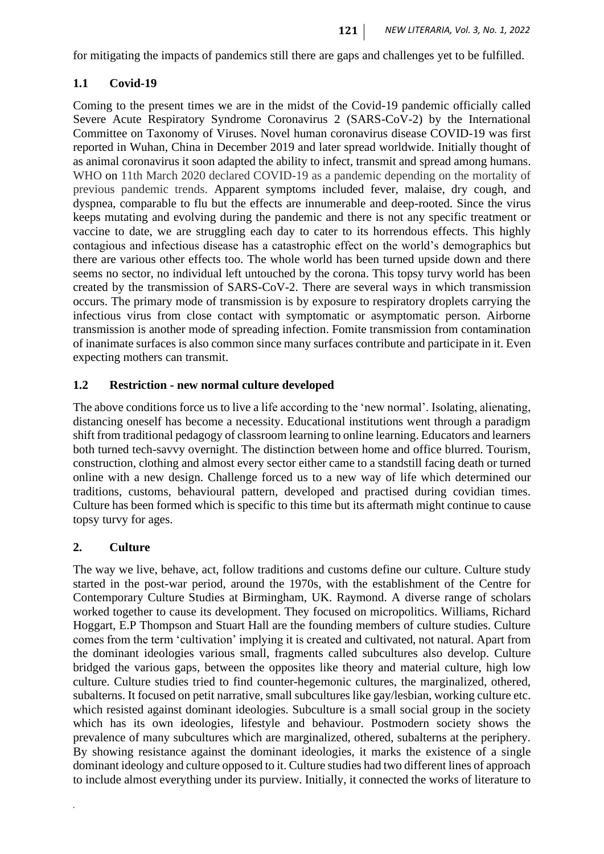for mitigating the impacts of pandemics still there are gaps and challenges yet to be fulfilled.

# **1.1 Covid-19**

Coming to the present times we are in the midst of the Covid-19 pandemic officially called Severe Acute Respiratory Syndrome Coronavirus 2 (SARS-CoV-2) by the International Committee on Taxonomy of Viruses. Novel human coronavirus disease COVID-19 was first reported in Wuhan, China in December 2019 and later spread worldwide. Initially thought of as animal coronavirus it soon adapted the ability to infect, transmit and spread among humans. WHO on 11th March 2020 declared COVID-19 as a pandemic depending on the mortality of previous pandemic trends. Apparent symptoms included fever, malaise, dry cough, and dyspnea, comparable to flu but the effects are innumerable and deep-rooted. Since the virus keeps mutating and evolving during the pandemic and there is not any specific treatment or vaccine to date, we are struggling each day to cater to its horrendous effects. This highly contagious and infectious disease has a catastrophic effect on the world's demographics but there are various other effects too. The whole world has been turned upside down and there seems no sector, no individual left untouched by the corona. This topsy turvy world has been created by the transmission of SARS-CoV-2. There are several ways in which transmission occurs. The primary mode of transmission is by exposure to respiratory droplets carrying the infectious virus from close contact with symptomatic or asymptomatic person. Airborne transmission is another mode of spreading infection. Fomite transmission from contamination of inanimate surfaces is also common since many surfaces contribute and participate in it. Even expecting mothers can transmit.

# **1.2 Restriction - new normal culture developed**

The above conditions force us to live a life according to the 'new normal'. Isolating, alienating, distancing oneself has become a necessity. Educational institutions went through a paradigm shift from traditional pedagogy of classroom learning to online learning. Educators and learners both turned tech-savvy overnight. The distinction between home and office blurred. Tourism, construction, clothing and almost every sector either came to a standstill facing death or turned online with a new design. Challenge forced us to a new way of life which determined our traditions, customs, behavioural pattern, developed and practised during covidian times. Culture has been formed which is specific to this time but its aftermath might continue to cause topsy turvy for ages.

# **2. Culture**

*.*

The way we live, behave, act, follow traditions and customs define our culture. Culture study started in the post-war period, around the 1970s, with the establishment of the Centre for Contemporary Culture Studies at Birmingham, UK. Raymond. A diverse range of scholars worked together to cause its development. They focused on micropolitics. Williams, Richard Hoggart, E.P Thompson and Stuart Hall are the founding members of culture studies. Culture comes from the term 'cultivation' implying it is created and cultivated, not natural. Apart from the dominant ideologies various small, fragments called subcultures also develop. Culture bridged the various gaps, between the opposites like theory and material culture, high low culture. Culture studies tried to find counter-hegemonic cultures, the marginalized, othered, subalterns. It focused on petit narrative, small subcultures like gay/lesbian, working culture etc. which resisted against dominant ideologies. Subculture is a small social group in the society which has its own ideologies, lifestyle and behaviour. Postmodern society shows the prevalence of many subcultures which are marginalized, othered, subalterns at the periphery. By showing resistance against the dominant ideologies, it marks the existence of a single dominant ideology and culture opposed to it. Culture studies had two different lines of approach to include almost everything under its purview. Initially, it connected the works of literature to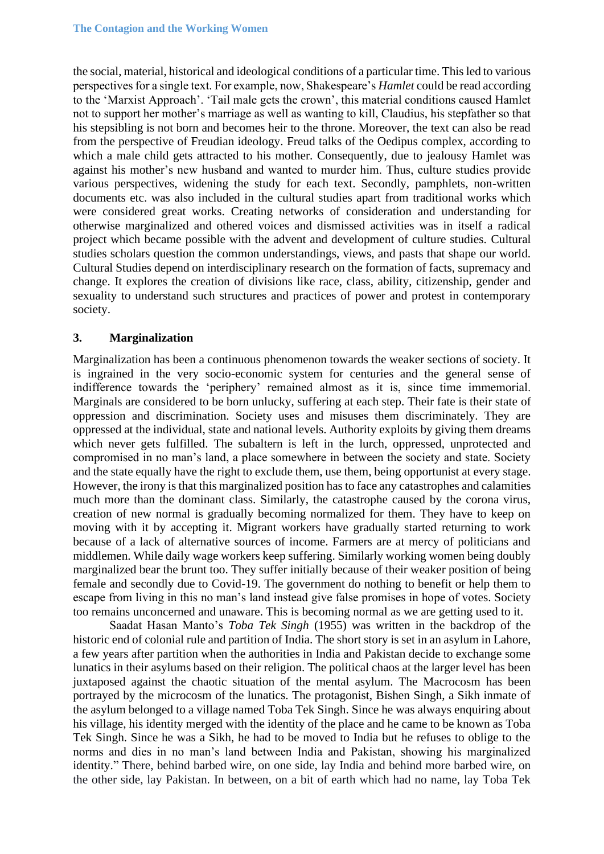the social, material, historical and ideological conditions of a particular time. This led to various perspectives for a single text. For example, now, Shakespeare's *Hamlet* could be read according to the 'Marxist Approach'. 'Tail male gets the crown', this material conditions caused Hamlet not to support her mother's marriage as well as wanting to kill, Claudius, his stepfather so that his stepsibling is not born and becomes heir to the throne. Moreover, the text can also be read from the perspective of Freudian ideology. Freud talks of the Oedipus complex, according to which a male child gets attracted to his mother. Consequently, due to jealousy Hamlet was against his mother's new husband and wanted to murder him. Thus, culture studies provide various perspectives, widening the study for each text. Secondly, pamphlets, non-written documents etc. was also included in the cultural studies apart from traditional works which were considered great works. Creating networks of consideration and understanding for otherwise marginalized and othered voices and dismissed activities was in itself a radical project which became possible with the advent and development of culture studies. Cultural studies scholars question the common understandings, views, and pasts that shape our world. Cultural Studies depend on interdisciplinary research on the formation of facts, supremacy and change. It explores the creation of divisions like race, class, ability, citizenship, gender and sexuality to understand such structures and practices of power and protest in contemporary society.

#### **3. Marginalization**

Marginalization has been a continuous phenomenon towards the weaker sections of society. It is ingrained in the very socio-economic system for centuries and the general sense of indifference towards the 'periphery' remained almost as it is, since time immemorial. Marginals are considered to be born unlucky, suffering at each step. Their fate is their state of oppression and discrimination. Society uses and misuses them discriminately. They are oppressed at the individual, state and national levels. Authority exploits by giving them dreams which never gets fulfilled. The subaltern is left in the lurch, oppressed, unprotected and compromised in no man's land, a place somewhere in between the society and state. Society and the state equally have the right to exclude them, use them, being opportunist at every stage. However, the irony is that this marginalized position has to face any catastrophes and calamities much more than the dominant class. Similarly, the catastrophe caused by the corona virus, creation of new normal is gradually becoming normalized for them. They have to keep on moving with it by accepting it. Migrant workers have gradually started returning to work because of a lack of alternative sources of income. Farmers are at mercy of politicians and middlemen. While daily wage workers keep suffering. Similarly working women being doubly marginalized bear the brunt too. They suffer initially because of their weaker position of being female and secondly due to Covid-19. The government do nothing to benefit or help them to escape from living in this no man's land instead give false promises in hope of votes. Society too remains unconcerned and unaware. This is becoming normal as we are getting used to it.

Saadat Hasan Manto's *Toba Tek Singh* (1955) was written in the backdrop of the historic end of colonial rule and partition of India. The short story is set in an asylum in Lahore, a few years after partition when the authorities in India and Pakistan decide to exchange some lunatics in their asylums based on their religion. The political chaos at the larger level has been juxtaposed against the chaotic situation of the mental asylum. The Macrocosm has been portrayed by the microcosm of the lunatics. The protagonist, Bishen Singh, a Sikh inmate of the asylum belonged to a village named Toba Tek Singh. Since he was always enquiring about his village, his identity merged with the identity of the place and he came to be known as Toba Tek Singh. Since he was a Sikh, he had to be moved to India but he refuses to oblige to the norms and dies in no man's land between India and Pakistan, showing his marginalized identity." There, behind barbed wire, on one side, lay India and behind more barbed wire, on the other side, lay Pakistan. In between, on a bit of earth which had no name, lay Toba Tek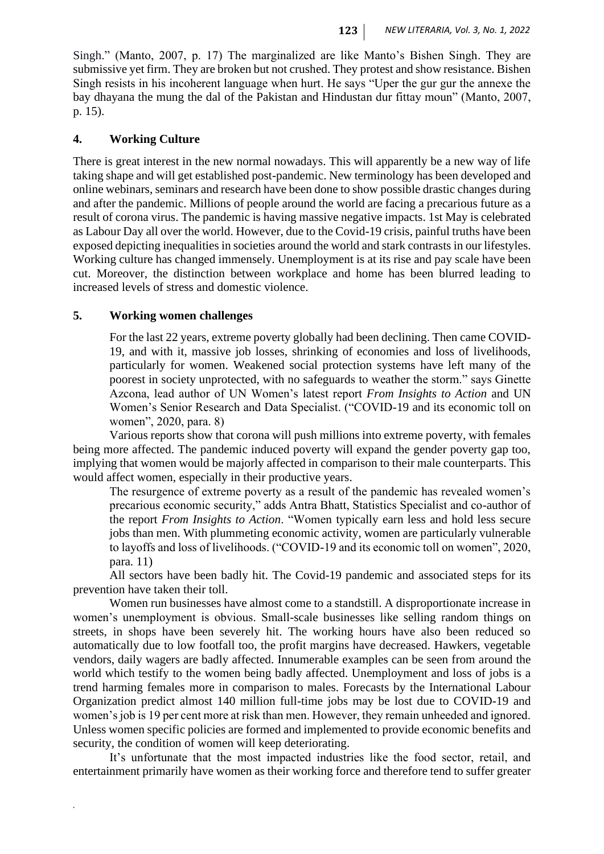Singh." (Manto, 2007, p. 17) The marginalized are like Manto's Bishen Singh. They are submissive yet firm. They are broken but not crushed. They protest and show resistance. Bishen Singh resists in his incoherent language when hurt. He says "Uper the gur gur the annexe the bay dhayana the mung the dal of the Pakistan and Hindustan dur fittay moun" (Manto, 2007, p. 15).

# **4. Working Culture**

There is great interest in the new normal nowadays. This will apparently be a new way of life taking shape and will get established post-pandemic. New terminology has been developed and online webinars, seminars and research have been done to show possible drastic changes during and after the pandemic. Millions of people around the world are facing a precarious future as a result of corona virus. The pandemic is having massive negative impacts. 1st May is celebrated as Labour Day all over the world. However, due to the Covid-19 crisis, painful truths have been exposed depicting inequalities in societies around the world and stark contrasts in our lifestyles. Working culture has changed immensely. Unemployment is at its rise and pay scale have been cut. Moreover, the distinction between workplace and home has been blurred leading to increased levels of stress and domestic violence.

#### **5. Working women challenges**

*.*

For the last 22 years, extreme poverty globally had been declining. Then came COVID-19, and with it, massive job losses, shrinking of economies and loss of livelihoods, particularly for women. Weakened social protection systems have left many of the poorest in society unprotected, with no safeguards to weather the storm." says Ginette Azcona, lead author of UN Women's latest report *From Insights to Action* and UN Women's Senior Research and Data Specialist. ("COVID-19 and its economic toll on women", 2020, para. 8)

Various reports show that corona will push millions into extreme poverty, with females being more affected. The pandemic induced poverty will expand the gender poverty gap too, implying that women would be majorly affected in comparison to their male counterparts. This would affect women, especially in their productive years.

The resurgence of extreme poverty as a result of the pandemic has revealed women's precarious economic security," adds Antra Bhatt, Statistics Specialist and co-author of the report *From Insights to Action*. "Women typically earn less and hold less secure jobs than men. With plummeting economic activity, women are particularly vulnerable to layoffs and loss of livelihoods. ("COVID-19 and its economic toll on women", 2020, para. 11)

All sectors have been badly hit. The Covid-19 pandemic and associated steps for its prevention have taken their toll.

Women run businesses have almost come to a standstill. A disproportionate increase in women's unemployment is obvious. Small-scale businesses like selling random things on streets, in shops have been severely hit. The working hours have also been reduced so automatically due to low footfall too, the profit margins have decreased. Hawkers, vegetable vendors, daily wagers are badly affected. Innumerable examples can be seen from around the world which testify to the women being badly affected. Unemployment and loss of jobs is a trend harming females more in comparison to males. Forecasts by the International Labour Organization predict almost 140 million full-time jobs may be lost due to COVID-19 and women's job is 19 per cent more at risk than men. However, they remain unheeded and ignored. Unless women specific policies are formed and implemented to provide economic benefits and security, the condition of women will keep deteriorating.

It's unfortunate that the most impacted industries like the food sector, retail, and entertainment primarily have women as their working force and therefore tend to suffer greater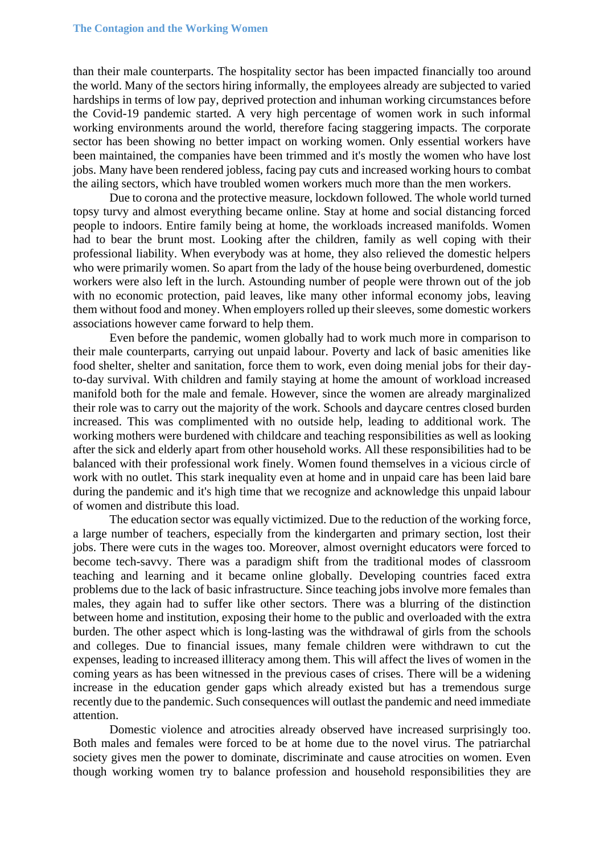than their male counterparts. The hospitality sector has been impacted financially too around the world. Many of the sectors hiring informally, the employees already are subjected to varied hardships in terms of low pay, deprived protection and inhuman working circumstances before the Covid-19 pandemic started. A very high percentage of women work in such informal working environments around the world, therefore facing staggering impacts. The corporate sector has been showing no better impact on working women. Only essential workers have been maintained, the companies have been trimmed and it's mostly the women who have lost jobs. Many have been rendered jobless, facing pay cuts and increased working hours to combat the ailing sectors, which have troubled women workers much more than the men workers.

Due to corona and the protective measure, lockdown followed. The whole world turned topsy turvy and almost everything became online. Stay at home and social distancing forced people to indoors. Entire family being at home, the workloads increased manifolds. Women had to bear the brunt most. Looking after the children, family as well coping with their professional liability. When everybody was at home, they also relieved the domestic helpers who were primarily women. So apart from the lady of the house being overburdened, domestic workers were also left in the lurch. Astounding number of people were thrown out of the job with no economic protection, paid leaves, like many other informal economy jobs, leaving them without food and money. When employers rolled up their sleeves, some domestic workers associations however came forward to help them.

Even before the pandemic, women globally had to work much more in comparison to their male counterparts, carrying out unpaid labour. Poverty and lack of basic amenities like food shelter, shelter and sanitation, force them to work, even doing menial jobs for their dayto-day survival. With children and family staying at home the amount of workload increased manifold both for the male and female. However, since the women are already marginalized their role was to carry out the majority of the work. Schools and daycare centres closed burden increased. This was complimented with no outside help, leading to additional work. The working mothers were burdened with childcare and teaching responsibilities as well as looking after the sick and elderly apart from other household works. All these responsibilities had to be balanced with their professional work finely. Women found themselves in a vicious circle of work with no outlet. This stark inequality even at home and in unpaid care has been laid bare during the pandemic and it's high time that we recognize and acknowledge this unpaid labour of women and distribute this load.

The education sector was equally victimized. Due to the reduction of the working force, a large number of teachers, especially from the kindergarten and primary section, lost their jobs. There were cuts in the wages too. Moreover, almost overnight educators were forced to become tech-savvy. There was a paradigm shift from the traditional modes of classroom teaching and learning and it became online globally. Developing countries faced extra problems due to the lack of basic infrastructure. Since teaching jobs involve more females than males, they again had to suffer like other sectors. There was a blurring of the distinction between home and institution, exposing their home to the public and overloaded with the extra burden. The other aspect which is long-lasting was the withdrawal of girls from the schools and colleges. Due to financial issues, many female children were withdrawn to cut the expenses, leading to increased illiteracy among them. This will affect the lives of women in the coming years as has been witnessed in the previous cases of crises. There will be a widening increase in the education gender gaps which already existed but has a tremendous surge recently due to the pandemic. Such consequences will outlast the pandemic and need immediate attention.

Domestic violence and atrocities already observed have increased surprisingly too. Both males and females were forced to be at home due to the novel virus. The patriarchal society gives men the power to dominate, discriminate and cause atrocities on women. Even though working women try to balance profession and household responsibilities they are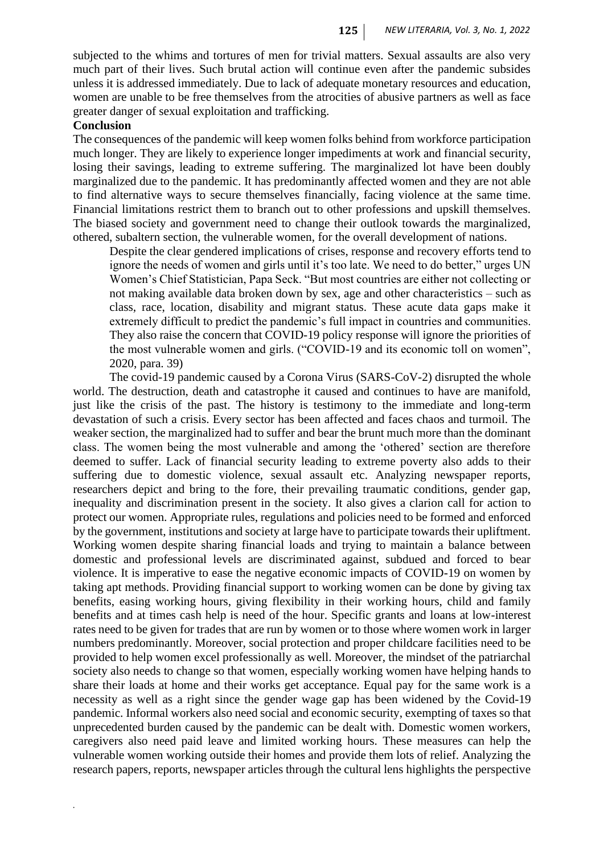subjected to the whims and tortures of men for trivial matters. Sexual assaults are also very much part of their lives. Such brutal action will continue even after the pandemic subsides unless it is addressed immediately. Due to lack of adequate monetary resources and education, women are unable to be free themselves from the atrocities of abusive partners as well as face greater danger of sexual exploitation and trafficking.

#### **Conclusion**

*.*

The consequences of the pandemic will keep women folks behind from workforce participation much longer. They are likely to experience longer impediments at work and financial security, losing their savings, leading to extreme suffering. The marginalized lot have been doubly marginalized due to the pandemic. It has predominantly affected women and they are not able to find alternative ways to secure themselves financially, facing violence at the same time. Financial limitations restrict them to branch out to other professions and upskill themselves. The biased society and government need to change their outlook towards the marginalized, othered, subaltern section, the vulnerable women, for the overall development of nations.

Despite the clear gendered implications of crises, response and recovery efforts tend to ignore the needs of women and girls until it's too late. We need to do better," urges UN Women's Chief Statistician, Papa Seck. "But most countries are either not collecting or not making available data broken down by sex, age and other characteristics – such as class, race, location, disability and migrant status. These acute data gaps make it extremely difficult to predict the pandemic's full impact in countries and communities. They also raise the concern that COVID-19 policy response will ignore the priorities of the most vulnerable women and girls. ("COVID-19 and its economic toll on women", 2020, para. 39)

The covid-19 pandemic caused by a Corona Virus (SARS-CoV-2) disrupted the whole world. The destruction, death and catastrophe it caused and continues to have are manifold, just like the crisis of the past. The history is testimony to the immediate and long-term devastation of such a crisis. Every sector has been affected and faces chaos and turmoil. The weaker section, the marginalized had to suffer and bear the brunt much more than the dominant class. The women being the most vulnerable and among the 'othered' section are therefore deemed to suffer. Lack of financial security leading to extreme poverty also adds to their suffering due to domestic violence, sexual assault etc. Analyzing newspaper reports, researchers depict and bring to the fore, their prevailing traumatic conditions, gender gap, inequality and discrimination present in the society. It also gives a clarion call for action to protect our women. Appropriate rules, regulations and policies need to be formed and enforced by the government, institutions and society at large have to participate towards their upliftment. Working women despite sharing financial loads and trying to maintain a balance between domestic and professional levels are discriminated against, subdued and forced to bear violence. It is imperative to ease the negative economic impacts of COVID-19 on women by taking apt methods. Providing financial support to working women can be done by giving tax benefits, easing working hours, giving flexibility in their working hours, child and family benefits and at times cash help is need of the hour. Specific grants and loans at low-interest rates need to be given for trades that are run by women or to those where women work in larger numbers predominantly. Moreover, social protection and proper childcare facilities need to be provided to help women excel professionally as well. Moreover, the mindset of the patriarchal society also needs to change so that women, especially working women have helping hands to share their loads at home and their works get acceptance. Equal pay for the same work is a necessity as well as a right since the gender wage gap has been widened by the Covid-19 pandemic. Informal workers also need social and economic security, exempting of taxes so that unprecedented burden caused by the pandemic can be dealt with. Domestic women workers, caregivers also need paid leave and limited working hours. These measures can help the vulnerable women working outside their homes and provide them lots of relief. Analyzing the research papers, reports, newspaper articles through the cultural lens highlights the perspective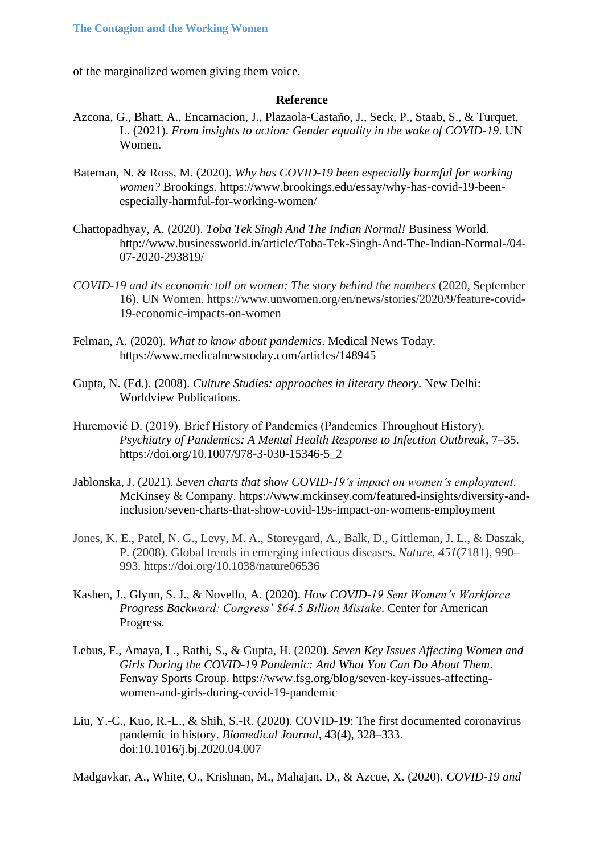of the marginalized women giving them voice.

#### **Reference**

- Azcona, G., Bhatt, A., Encarnacion, J., Plazaola-Castaño, J., Seck, P., Staab, S., & Turquet, L. (2021). *From insights to action: Gender equality in the wake of COVID-19*. UN Women.
- Bateman, N. & Ross, M. (2020). *Why has COVID-19 been especially harmful for working women?* Brookings. https://www.brookings.edu/essay/why-has-covid-19-beenespecially-harmful-for-working-women/
- Chattopadhyay, A. (2020). *Toba Tek Singh And The Indian Normal!* Business World. http://www.businessworld.in/article/Toba-Tek-Singh-And-The-Indian-Normal-/04- 07-2020-293819/
- *COVID-19 and its economic toll on women: The story behind the numbers* (2020, September 16). UN Women. https://www.unwomen.org/en/news/stories/2020/9/feature-covid-19-economic-impacts-on-women
- Felman, A. (2020). *What to know about pandemics*. Medical News Today. https://www.medicalnewstoday.com/articles/148945
- Gupta, N. (Ed.). (2008). *Culture Studies: approaches in literary theory*. New Delhi: Worldview Publications.
- Huremović D. (2019). Brief History of Pandemics (Pandemics Throughout History). *Psychiatry of Pandemics: A Mental Health Response to Infection Outbreak*, 7–35. https://doi.org/10.1007/978-3-030-15346-5\_2
- Jablonska, J. (2021). *Seven charts that show COVID-19's impact on women's employment*. McKinsey & Company. https://www.mckinsey.com/featured-insights/diversity-andinclusion/seven-charts-that-show-covid-19s-impact-on-womens-employment
- Jones, K. E., Patel, N. G., Levy, M. A., Storeygard, A., Balk, D., Gittleman, J. L., & Daszak, P. (2008). Global trends in emerging infectious diseases. *Nature, 451*(7181), 990– 993. https://doi.org/10.1038/nature06536
- Kashen, J., Glynn, S. J., & Novello, A. (2020). *How COVID-19 Sent Women's Workforce Progress Backward: Congress' \$64.5 Billion Mistake*. Center for American Progress.
- Lebus, F., Amaya, L., Rathi, S., & Gupta, H. (2020). *Seven Key Issues Affecting Women and Girls During the COVID-19 Pandemic: And What You Can Do About Them*. Fenway Sports Group. https://www.fsg.org/blog/seven-key-issues-affectingwomen-and-girls-during-covid-19-pandemic
- Liu, Y.-C., Kuo, R.-L., & Shih, S.-R. (2020). COVID-19: The first documented coronavirus pandemic in history. *Biomedical Journal*, 43(4), 328–333. doi:10.1016/j.bj.2020.04.007

Madgavkar, A., White, O., Krishnan, M., Mahajan, D., & Azcue, X. (2020). *COVID-19 and*